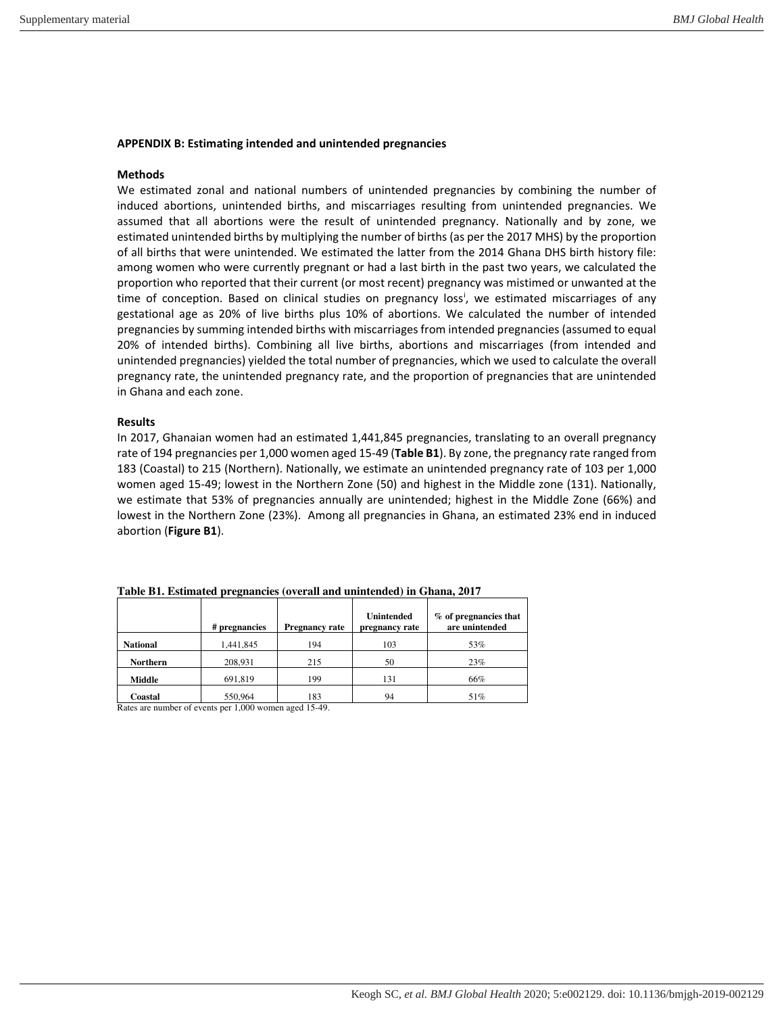## **APPENDIX B: Estimating intended and unintended pregnancies**

## **Methods**

We estimated zonal and national numbers of unintended pregnancies by combining the number of induced abortions, unintended births, and miscarriages resulting from unintended pregnancies. We assumed that all abortions were the result of unintended pregnancy. Nationally and by zone, we estimated unintended births by multiplying the number of births (as per the 2017 MHS) by the proportion of all births that were unintended. We estimated the latter from the 2014 Ghana DHS birth history file: among women who were currently pregnant or had a last birth in the past two years, we calculated the proportion who reported that their current (or most recent) pregnancy was mistimed or unwanted at the t[i](#page-1-0)me of conception. Based on clinical studies on pregnancy loss<sup>i</sup>, we estimated miscarriages of any gestational age as 20% of live births plus 10% of abortions. We calculated the number of intended pregnancies by summing intended births with miscarriages from intended pregnancies (assumed to equal 20% of intended births). Combining all live births, abortions and miscarriages (from intended and unintended pregnancies) yielded the total number of pregnancies, which we used to calculate the overall pregnancy rate, the unintended pregnancy rate, and the proportion of pregnancies that are unintended in Ghana and each zone.

## **Results**

In 2017, Ghanaian women had an estimated 1,441,845 pregnancies, translating to an overall pregnancy rate of 194 pregnancies per 1,000 women aged 15-49 (**Table B1**). By zone, the pregnancy rate ranged from 183 (Coastal) to 215 (Northern). Nationally, we estimate an unintended pregnancy rate of 103 per 1,000 women aged 15-49; lowest in the Northern Zone (50) and highest in the Middle zone (131). Nationally, we estimate that 53% of pregnancies annually are unintended; highest in the Middle Zone (66%) and lowest in the Northern Zone (23%). Among all pregnancies in Ghana, an estimated 23% end in induced abortion (**Figure B1**).

|                 | # pregnancies | <b>Pregnancy rate</b> | <b>Unintended</b><br>pregnancy rate | % of pregnancies that<br>are unintended |
|-----------------|---------------|-----------------------|-------------------------------------|-----------------------------------------|
| <b>National</b> | 1,441,845     | 194                   | 103                                 | 53%                                     |
| <b>Northern</b> | 208,931       | 215                   | 50                                  | 23%                                     |
| Middle          | 691,819       | 199                   | 131                                 | 66%                                     |
| Coastal         | 550.964       | 183                   | 94                                  | 51%                                     |

**Table B1. Estimated pregnancies (overall and unintended) in Ghana, 2017**

Rates are number of events per 1,000 women aged 15-49.